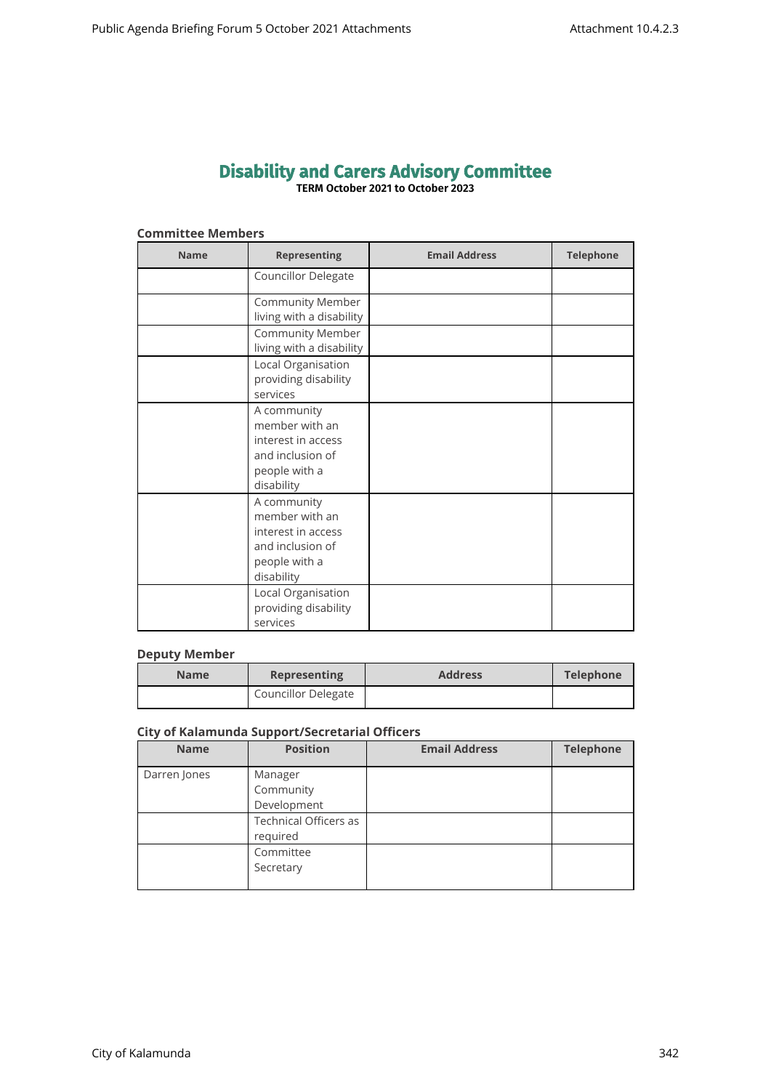# **Disability and Carers Advisory Committee TERM October 2021 to October 2023**

## **Committee Members**

| <b>Name</b> | <b>Representing</b>                                                                                    | <b>Email Address</b> | <b>Telephone</b> |
|-------------|--------------------------------------------------------------------------------------------------------|----------------------|------------------|
|             | Councillor Delegate                                                                                    |                      |                  |
|             | <b>Community Member</b><br>living with a disability                                                    |                      |                  |
|             | <b>Community Member</b><br>living with a disability                                                    |                      |                  |
|             | Local Organisation<br>providing disability<br>services                                                 |                      |                  |
|             | A community<br>member with an<br>interest in access<br>and inclusion of<br>people with a<br>disability |                      |                  |
|             | A community<br>member with an<br>interest in access<br>and inclusion of<br>people with a<br>disability |                      |                  |
|             | Local Organisation<br>providing disability<br>services                                                 |                      |                  |

# **Deputy Member**

| <b>Name</b> | <b>Representing</b>        | <b>Address</b> | Telephone |
|-------------|----------------------------|----------------|-----------|
|             | <b>Councillor Delegate</b> |                |           |

## **City of Kalamunda Support/Secretarial Officers**

| <b>Name</b>  | <b>Position</b>                     | <b>Email Address</b> | <b>Telephone</b> |
|--------------|-------------------------------------|----------------------|------------------|
| Darren Jones | Manager<br>Community<br>Development |                      |                  |
|              | Technical Officers as<br>required   |                      |                  |
|              | Committee<br>Secretary              |                      |                  |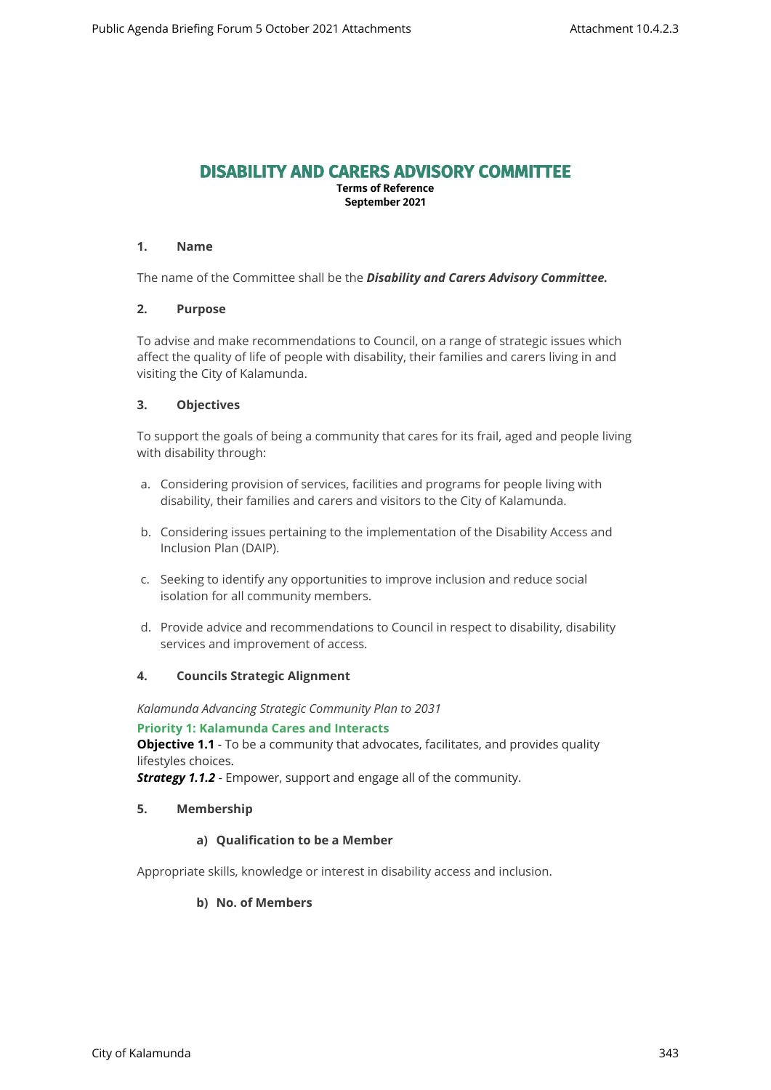# **DISABILITY AND CARERS ADVISORY COMMITTEE**

**Terms of Reference September 2021**

## **1. Name**

The name of the Committee shall be the *Disability and Carers Advisory Committee.*

## **2. Purpose**

To advise and make recommendations to Council, on a range of strategic issues which affect the quality of life of people with disability, their families and carers living in and visiting the City of Kalamunda.

## **3. Objectives**

To support the goals of being a community that cares for its frail, aged and people living with disability through:

- a. Considering provision of services, facilities and programs for people living with disability, their families and carers and visitors to the City of Kalamunda.
- b. Considering issues pertaining to the implementation of the Disability Access and Inclusion Plan (DAIP).
- c. Seeking to identify any opportunities to improve inclusion and reduce social isolation for all community members.
- d. Provide advice and recommendations to Council in respect to disability, disability services and improvement of access.

## **4. Councils Strategic Alignment**

*Kalamunda Advancing Strategic Community Plan to 2031* 

## **Priority 1: Kalamunda Cares and Interacts**

**Objective 1.1** - To be a community that advocates, facilitates, and provides quality lifestyles choices.

*Strategy 1.1.2* - Empower, support and engage all of the community.

## **5. Membership**

## **a) Qualification to be a Member**

Appropriate skills, knowledge or interest in disability access and inclusion.

## **b) No. of Members**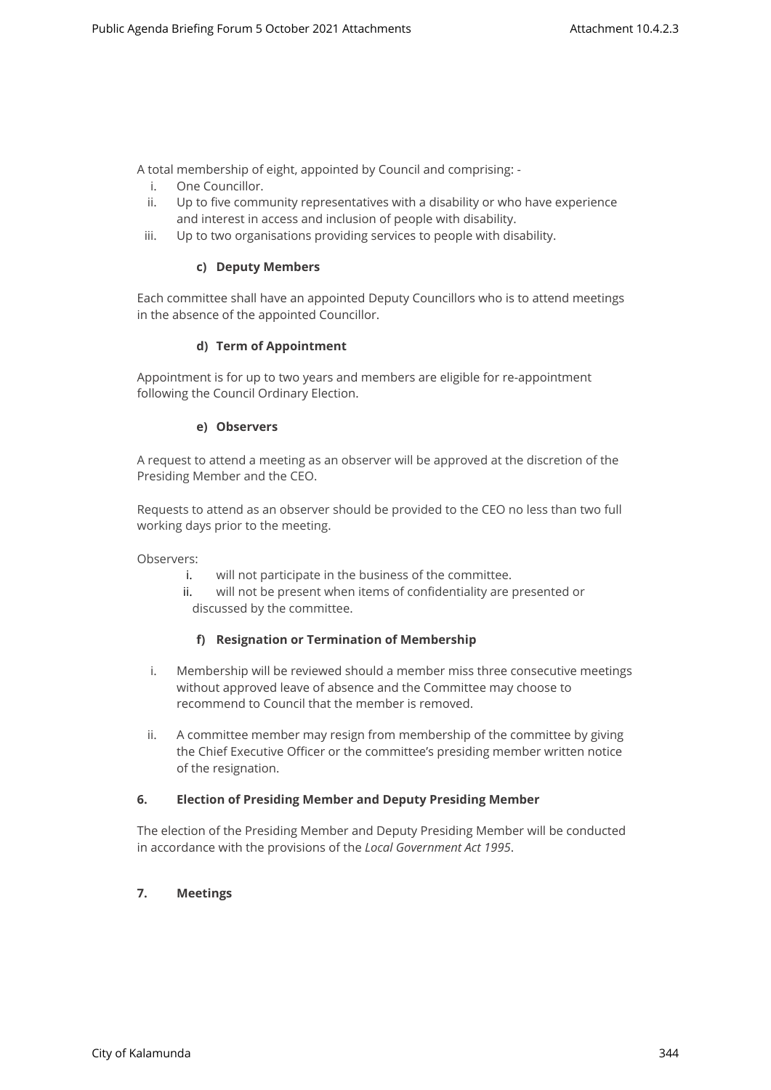A total membership of eight, appointed by Council and comprising: -

- i. One Councillor.
- ii. Up to five community representatives with a disability or who have experience and interest in access and inclusion of people with disability.
- iii. Up to two organisations providing services to people with disability.

## **c) Deputy Members**

Each committee shall have an appointed Deputy Councillors who is to attend meetings in the absence of the appointed Councillor.

## **d) Term of Appointment**

Appointment is for up to two years and members are eligible for re-appointment following the Council Ordinary Election.

## **e) Observers**

A request to attend a meeting as an observer will be approved at the discretion of the Presiding Member and the CEO.

Requests to attend as an observer should be provided to the CEO no less than two full working days prior to the meeting.

Observers:

- i. will not participate in the business of the committee.
- ii. will not be present when items of confidentiality are presented or discussed by the committee.

## **f) Resignation or Termination of Membership**

- i. Membership will be reviewed should a member miss three consecutive meetings without approved leave of absence and the Committee may choose to recommend to Council that the member is removed.
- ii. A committee member may resign from membership of the committee by giving the Chief Executive Officer or the committee's presiding member written notice of the resignation.

## **6. Election of Presiding Member and Deputy Presiding Member**

The election of the Presiding Member and Deputy Presiding Member will be conducted in accordance with the provisions of the *Local Government Act 1995*.

# **7. Meetings**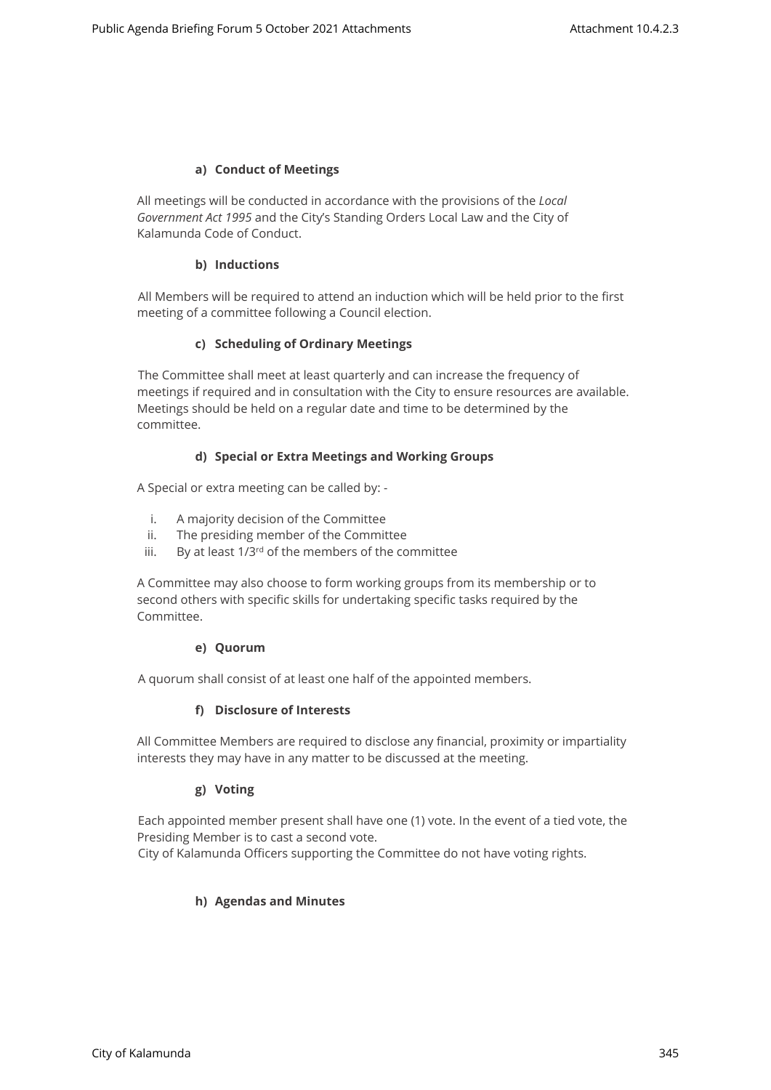## **a) Conduct of Meetings**

All meetings will be conducted in accordance with the provisions of the *Local Government Act 1995* and the City's Standing Orders Local Law and the City of Kalamunda Code of Conduct.

## **b) Inductions**

All Members will be required to attend an induction which will be held prior to the first meeting of a committee following a Council election.

## **c) Scheduling of Ordinary Meetings**

The Committee shall meet at least quarterly and can increase the frequency of meetings if required and in consultation with the City to ensure resources are available. Meetings should be held on a regular date and time to be determined by the committee.

## **d) Special or Extra Meetings and Working Groups**

A Special or extra meeting can be called by: -

- i. A majority decision of the Committee
- ii. The presiding member of the Committee
- iii. By at least  $1/3^{rd}$  of the members of the committee

A Committee may also choose to form working groups from its membership or to second others with specific skills for undertaking specific tasks required by the Committee.

## **e) Quorum**

A quorum shall consist of at least one half of the appointed members.

## **f) Disclosure of Interests**

All Committee Members are required to disclose any financial, proximity or impartiality interests they may have in any matter to be discussed at the meeting.

## **g) Voting**

Each appointed member present shall have one (1) vote. In the event of a tied vote, the Presiding Member is to cast a second vote.

City of Kalamunda Officers supporting the Committee do not have voting rights.

## **h) Agendas and Minutes**